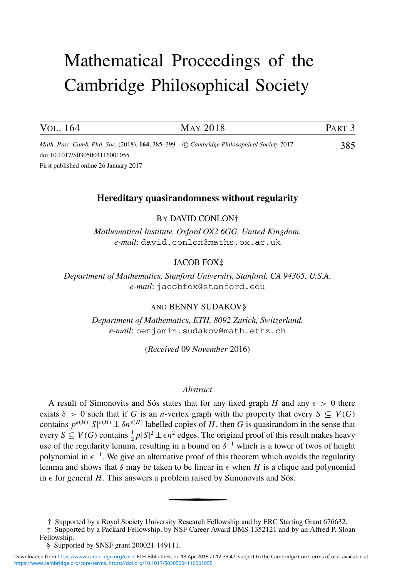# Mathematical Proceedings of the Cambridge Philosophical Society

| VOL. 164                                                                                   | <b>MAY 2018</b> | PART <sub>3</sub> |
|--------------------------------------------------------------------------------------------|-----------------|-------------------|
| Math. Proc. Camb. Phil. Soc. (2018), 164, 385–399 (C) Cambridge Philosophical Society 2017 |                 | 385               |

doi:10.1017/S0305004116001055

First published online 26 January 2017

## **Hereditary quasirandomness without regularity**

BY DAVID CONLON†

*Mathematical Institute, Oxford OX2 6GG, United Kingdom. e-mail*: david.conlon@maths.ox.ac.uk

## JACOB FOX‡

*Department of Mathematics, Stanford University, Stanford, CA 94305, U.S.A. e-mail*: jacobfox@stanford.edu

#### AND BENNY SUDAKOV§

*Department of Mathematics, ETH, 8092 Zurich, Switzerland. e-mail*: benjamin.sudakov@math.ethz.ch

(*Received* 09 *November* 2016)

#### *Abstract*

A result of Simonovits and Sós states that for any fixed graph  $H$  and any  $\epsilon > 0$  there exists  $\delta > 0$  such that if *G* is an *n*-vertex graph with the property that every  $S \subseteq V(G)$ contains  $p^{e(H)} |S|^{v(H)} \pm \delta n^{v(H)}$  labelled copies of *H*, then *G* is quasirandom in the sense that every  $S \subseteq V(G)$  contains  $\frac{1}{2}p|S|^2 \pm \epsilon n^2$  edges. The original proof of this result makes heavy use of the regularity lemma, resulting in a bound on  $\delta^{-1}$  which is a tower of twos of height polynomial in  $\epsilon^{-1}$ . We give an alternative proof of this theorem which avoids the regularity lemma and shows that  $\delta$  may be taken to be linear in  $\epsilon$  when H is a clique and polynomial in  $\epsilon$  for general *H*. This answers a problem raised by Simonovits and Sós.

<sup>†</sup> Supported by a Royal Society University Research Fellowship and by ERC Starting Grant 676632.

<sup>‡</sup> Supported by a Packard Fellowship, by NSF Career Award DMS-1352121 and by an Alfred P. Sloan Fellowship.

<sup>§</sup> Supported by SNSF grant 200021-149111.

[https://www.cambridge.org/core/terms.](https://www.cambridge.org/core/terms) <https://doi.org/10.1017/S0305004116001055> Downloaded from [https://www.cambridge.org/core.](https://www.cambridge.org/core) ETH-Bibliothek, on 13 Apr 2018 at 12:33:47, subject to the Cambridge Core terms of use, available at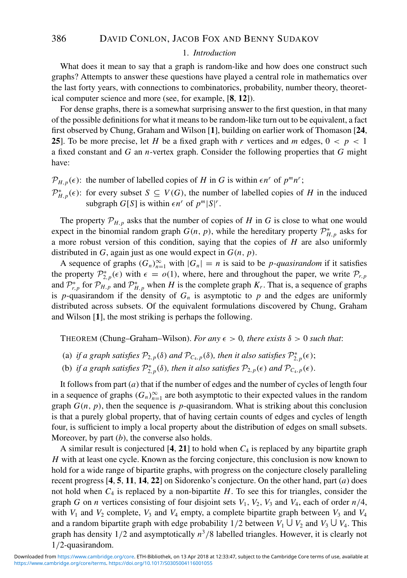#### 1. *Introduction*

What does it mean to say that a graph is random-like and how does one construct such graphs? Attempts to answer these questions have played a central role in mathematics over the last forty years, with connections to combinatorics, probability, number theory, theoretical computer science and more (see, for example, [**8**, **12**]).

For dense graphs, there is a somewhat surprising answer to the first question, in that many of the possible definitions for what it means to be random-like turn out to be equivalent, a fact first observed by Chung, Graham and Wilson [**1**], building on earlier work of Thomason [**24**, **25**]. To be more precise, let *H* be a fixed graph with *r* vertices and *m* edges,  $0 < p < 1$ a fixed constant and *G* an *n*-vertex graph. Consider the following properties that *G* might have:

- $\mathcal{P}_{H,p}(\epsilon)$ : the number of labelled copies of *H* in *G* is within  $\epsilon n^r$  of  $p^m n^r$ ;
- $\mathcal{P}_{H,p}^{*}(\epsilon)$ : for every subset *S* ⊆ *V*(*G*), the number of labelled copies of *H* in the induced subgraph  $G[S]$  is within  $\epsilon n^r$  of  $p^m |S|^r$ .

The property  $\mathcal{P}_{H,p}$  asks that the number of copies of *H* in *G* is close to what one would expect in the binomial random graph  $G(n, p)$ , while the hereditary property  $\mathcal{P}_{H, p}^{*}$  asks for a more robust version of this condition, saying that the copies of *H* are also uniformly distributed in *G*, again just as one would expect in *G*(*n*, *p*).

A sequence of graphs  $(G_n)_{n=1}^{\infty}$  with  $|G_n| = n$  is said to be *p-quasirandom* if it satisfies the property  $\mathcal{P}_{2,p}^*(\epsilon)$  with  $\epsilon = o(1)$ , where, here and throughout the paper, we write  $\mathcal{P}_{r,p}$ and  $\mathcal{P}_{r,p}^*$  for  $\mathcal{P}_{H,p}$  and  $\mathcal{P}_{H,p}^*$  when *H* is the complete graph *K<sub>r</sub>*. That is, a sequence of graphs is *p*-quasirandom if the density of  $G_n$  is asymptotic to *p* and the edges are uniformly distributed across subsets. Of the equivalent formulations discovered by Chung, Graham and Wilson [**1**], the most striking is perhaps the following.

THEOREM (Chung–Graham–Wilson). *For any*  $\epsilon > 0$ , there exists  $\delta > 0$  such that:

- (a) *if a graph satisfies*  $\mathcal{P}_{2,p}(\delta)$  *and*  $\mathcal{P}_{C_4,p}(\delta)$ *, then it also satisfies*  $\mathcal{P}_{2,p}^*(\epsilon)$ ;
- (b) if a graph satisfies  $\mathcal{P}_{2,p}^*(\delta)$ , then it also satisfies  $\mathcal{P}_{2,p}(\epsilon)$  and  $\mathcal{P}_{C_4,p}(\epsilon)$ .

It follows from part (*a*) that if the number of edges and the number of cycles of length four in a sequence of graphs  $(G_n)_{n=1}^{\infty}$  are both asymptotic to their expected values in the random graph  $G(n, p)$ , then the sequence is *p*-quasirandom. What is striking about this conclusion is that a purely global property, that of having certain counts of edges and cycles of length four, is sufficient to imply a local property about the distribution of edges on small subsets. Moreover, by part (*b*), the converse also holds.

A similar result is conjectured  $[4, 21]$  to hold when  $C_4$  is replaced by any bipartite graph *H* with at least one cycle. Known as the forcing conjecture, this conclusion is now known to hold for a wide range of bipartite graphs, with progress on the conjecture closely paralleling recent progress [**4**, **5**, **11**, **14**, **22**] on Sidorenko's conjecture. On the other hand, part (*a*) does not hold when  $C_4$  is replaced by a non-bipartite  $H$ . To see this for triangles, consider the graph *G* on *n* vertices consisting of four disjoint sets  $V_1$ ,  $V_2$ ,  $V_3$  and  $V_4$ , each of order  $n/4$ , with  $V_1$  and  $V_2$  complete,  $V_3$  and  $V_4$  empty, a complete bipartite graph between  $V_3$  and  $V_4$ and a random bipartite graph with edge probability  $1/2$  between  $V_1 \cup V_2$  and  $V_3 \cup V_4$ . This graph has density  $1/2$  and asymptotically  $n^3/8$  labelled triangles. However, it is clearly not 1/2-quasirandom.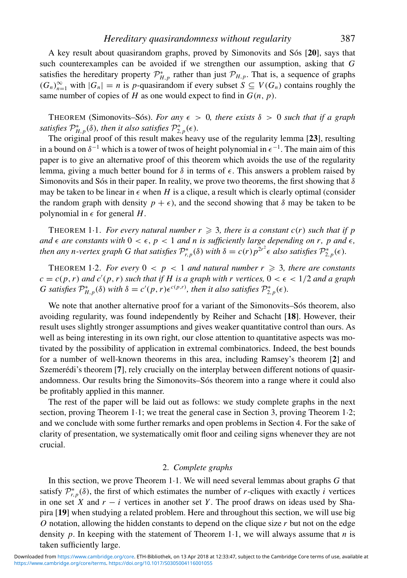A key result about quasirandom graphs, proved by Simonovits and Sós [20], says that such counterexamples can be avoided if we strengthen our assumption, asking that *G* satisfies the hereditary property  $\mathcal{P}_{H,p}^*$  rather than just  $\mathcal{P}_{H,p}$ . That is, a sequence of graphs  $(G_n)_{n=1}^{\infty}$  with  $|G_n| = n$  is *p*-quasirandom if every subset *S* ⊆ *V*(*G<sub>n</sub>*) contains roughly the same number of copies of *H* as one would expect to find in  $G(n, p)$ .

THEOREM (Simonovits–Sós). For any  $\epsilon > 0$ , there exists  $\delta > 0$  such that if a graph *satisfies*  $\mathcal{P}_{H,p}^{*}(\delta)$ *, then it also satisfies*  $\mathcal{P}_{2,p}^{*}(\epsilon)$ *.* 

The original proof of this result makes heavy use of the regularity lemma [**23**], resulting in a bound on  $\delta^{-1}$  which is a tower of twos of height polynomial in  $\epsilon^{-1}$ . The main aim of this paper is to give an alternative proof of this theorem which avoids the use of the regularity lemma, giving a much better bound for  $\delta$  in terms of  $\epsilon$ . This answers a problem raised by Simonovits and Sós in their paper. In reality, we prove two theorems, the first showing that  $\delta$ may be taken to be linear in  $\epsilon$  when *H* is a clique, a result which is clearly optimal (consider the random graph with density  $p + \epsilon$ ), and the second showing that  $\delta$  may be taken to be polynomial in  $\epsilon$  for general *H*.

THEOREM 1.1. *For every natural number*  $r \geqslant 3$ *, there is a constant c(r) such that if p* and  $\epsilon$  are constants with  $0 < \epsilon$ ,  $p < 1$  and n is sufficiently large depending on r, p and  $\epsilon$ , *then any n-vertex graph G that satisfies*  $\mathcal{P}_{r,p}^*(\delta)$  *with*  $\delta = c(r)p^{2r^2\epsilon}$  *also satisfies*  $\mathcal{P}_{2,p}^*(\epsilon)$ *.* 

THEOREM 1.2. *For every*  $0 < p < 1$  and natural number  $r \ge 3$ , there are constants  $c = c(p, r)$  *and*  $c'(p, r)$  *such that if H is a graph with r vertices,*  $0 < \epsilon < 1/2$  *and a graph G* satisfies  $\mathcal{P}_{H,p}^{*}(\delta)$  *with*  $\delta = c'(p,r)\epsilon^{c(p,r)}$ , then it also satisfies  $\mathcal{P}_{2,p}^{*}(\epsilon)$ *.* 

We note that another alternative proof for a variant of the Simonovits–Sós theorem, also avoiding regularity, was found independently by Reiher and Schacht [**18**]. However, their result uses slightly stronger assumptions and gives weaker quantitative control than ours. As well as being interesting in its own right, our close attention to quantitative aspects was motivated by the possibility of application in extremal combinatorics. Indeed, the best bounds for a number of well-known theorems in this area, including Ramsey's theorem [**2**] and Szemerédi's theorem [7], rely crucially on the interplay between different notions of quasirandomness. Our results bring the Simonovits–Sós theorem into a range where it could also be profitably applied in this manner.

The rest of the paper will be laid out as follows: we study complete graphs in the next section, proving Theorem 1·1; we treat the general case in Section 3, proving Theorem 1·2; and we conclude with some further remarks and open problems in Section 4. For the sake of clarity of presentation, we systematically omit floor and ceiling signs whenever they are not crucial.

## 2. *Complete graphs*

In this section, we prove Theorem 1·1. We will need several lemmas about graphs *G* that satisfy  $\mathcal{P}_{r,p}^{*}(\delta)$ , the first of which estimates the number of *r*-cliques with exactly *i* vertices in one set *X* and  $r - i$  vertices in another set *Y*. The proof draws on ideas used by Shapira [**19**] when studying a related problem. Here and throughout this section, we will use big *O* notation, allowing the hidden constants to depend on the clique size *r* but not on the edge density *p*. In keeping with the statement of Theorem 1·1, we will always assume that *n* is taken sufficiently large.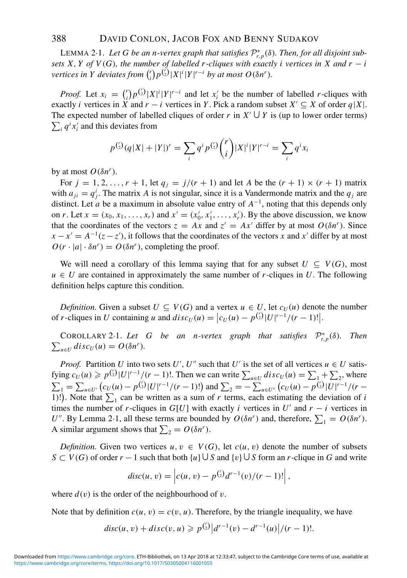LEMMA 2 $\cdot$ 1. Let G be an n-vertex graph that satisfies  $\mathcal{P}_{r,p}^*(\delta)$ . Then, for all disjoint sub*sets X, Y of V(G), the number of labelled r-cliques with exactly i vertices in X and*  $r - i$ *vertices in Y deviates from*  $\binom{r}{i}$  $\int_{i}^{r} p^{(\frac{r}{2})} |X|^{i} |Y|^{r-i}$  *by at most O*(δ*n<sup>r</sup>*)*.* 

*Proof.* Let  $x_i = \binom{r}{i}$  $f'_i$ ) $p^{t'_i}$  $|X|^i$  $|Y|^{r-i}$  and let *x*<sup>*i*</sup> be the number of labelled *r*-cliques with exactly *i* vertices in *X* and  $r - i$  vertices in *Y*. Pick a random subset  $X' \subseteq X$  of order  $q|X|$ . The expected number of labelled cliques of order *r* in  $X' \cup Y$  is (up to lower order terms)  $\sum_i q^i x'_i$  and this deviates from

$$
p^{r/2}(q|X|+|Y|)^r = \sum_i q^i p^{r/2} {r \choose i} |X|^i |Y|^{r-i} = \sum_i q^i x_i
$$

by at most  $O(δn<sup>r</sup>)$ .

For  $j = 1, 2, \ldots, r + 1$ , let  $q_j = j/(r + 1)$  and let A be the  $(r + 1) \times (r + 1)$  matrix with  $a_{ji} = q^i_j$ . The matrix *A* is not singular, since it is a Vandermonde matrix and the  $q_j$  are distinct. Let *a* be a maximum in absolute value entry of *A*<sup>−</sup>1, noting that this depends only on *r*. Let  $x = (x_0, x_1, \ldots, x_r)$  and  $x' = (x'_0, x'_1, \ldots, x'_r)$ . By the above discussion, we know that the coordinates of the vectors  $z = Ax$  and  $z' = Ax'$  differ by at most  $O(\delta n^r)$ . Since  $x - x' = A^{-1}(z - z')$ , it follows that the coordinates of the vectors *x* and *x'* differ by at most  $O(r \cdot |a| \cdot \delta n^r) = O(\delta n^r)$ , completing the proof.

We will need a corollary of this lemma saying that for any subset  $U \subseteq V(G)$ , most  $u \in U$  are contained in approximately the same number of *r*-cliques in *U*. The following definition helps capture this condition.

*Definition.* Given a subset  $U \subseteq V(G)$  and a vertex  $u \in U$ , let  $c_U(u)$  denote the number of *r*-cliques in *U* containing *u* and  $disc_U(u) = |c_U(u) - p^{{r \choose 2}}|U|^{r-1}/(r-1)!|$ .

COROLLARY 2.1. Let G be an n-vertex graph that satisfies  $\mathcal{P}_{r,p}^*$  $\sum_{u \in U} \text{disc}_U(u) = O(\delta n^r).$ (δ)*. Then*

*Proof.* Partition *U* into two sets *U'*, *U''* such that *U'* is the set of all vertices  $u \in U$  satisfying  $c_U(u) \geq p^{r/2} |U|^{r-1}/(r-1)!$ . Then we can write  $\sum_{u \in U} disc_U(u) = \sum_{v=1}^r + \sum_{v=2}^r$ , where  $\sum_{i=1}^{n} \sum_{u \in U'} \left( c_U(u) - p^{\binom{n}{2}} |U|^{r-1} / (r-1)! \right)$  and  $\sum_{i=2}^{n} \sum_{u \in U''} \left( c_U(u) - p^{\binom{n}{2}} |U|^{r-1} / (r-1)! \right)$ 1)!). Note that  $\sum_1$  can be written as a sum of *r* terms, each estimating the deviation of *i* times the number of *r*-cliques in  $G[U]$  with exactly *i* vertices in *U'* and  $r - i$  vertices in *U*". By Lemma 2·1, all these terms are bounded by  $O(\delta n^r)$  and, therefore,  $\sum_1 = O(\delta n^r)$ . A similar argument shows that  $\sum_2 = O(\delta n^r)$ .

*Definition.* Given two vertices  $u, v \in V(G)$ , let  $c(u, v)$  denote the number of subsets *S* ⊂ *V*(*G*) of order *r* − 1 such that both {*u*}  $\cup$  *S* and {*v*}  $\cup$  *S* form an *r*-clique in *G* and write

$$
disc(u, v) = \left| c(u, v) - p^{\binom{r}{2}} d^{r-1}(v) / (r-1)! \right|,
$$

where  $d(v)$  is the order of the neighbourhood of v.

Note that by definition  $c(u, v) = c(v, u)$ . Therefore, by the triangle inequality, we have

$$
disc(u, v) + disc(v, u) \geqslant p^{\binom{r}{2}} \big| d^{r-1}(v) - d^{r-1}(u) \big| / (r-1)!.
$$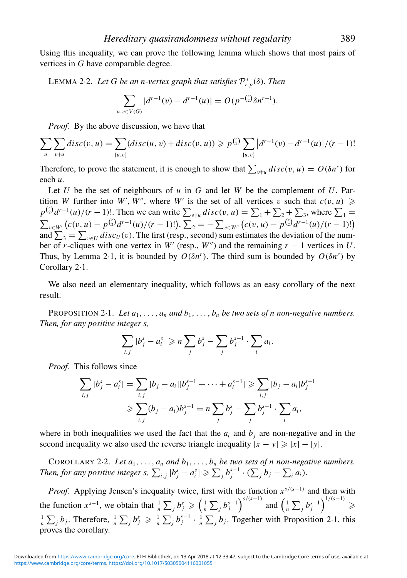Using this inequality, we can prove the following lemma which shows that most pairs of vertices in *G* have comparable degree.

LEMMA <sup>2</sup>·2. *Let G be an n-vertex graph that satisfies* <sup>P</sup><sup>∗</sup> *<sup>r</sup>*,*<sup>p</sup>*(δ)*. Then*

$$
\sum_{u,v \in V(G)} |d^{r-1}(v) - d^{r-1}(u)| = O(p^{-(\zeta)} \delta n^{r+1}).
$$

*Proof.* By the above discussion, we have that

$$
\sum_{u} \sum_{v \neq u} disc(v, u) = \sum_{\{u, v\}} (disc(u, v) + disc(v, u)) \geqslant p^{\binom{r}{2}} \sum_{\{u, v\}} \left| d^{r-1}(v) - d^{r-1}(u) \right| / (r-1)!
$$

Therefore, to prove the statement, it is enough to show that  $\sum_{v \neq u} \text{disc}(v, u) = O(\delta n^r)$  for each *u*.

Let *U* be the set of neighbours of *u* in *G* and let *W* be the complement of *U*. Partition *W* further into *W'*, *W''*, where *W'* is the set of all vertices *v* such that  $c(v, u) \geqslant$  $p^{r} (x) d^{r-1}(u) / (r-1)!$ . Then we can write  $\sum_{v \neq u} \text{disc}(v, u) = \sum_{v \neq u} \sum_{v \neq v} \sum_{v \neq v}$ , where  $\sum_{v \neq v}$  $\sum_{v \in W'} (c(v, u) - p^{r \choose 2} d^{r-1}(u)/(r-1)!)$ ,  $\sum_{v \in W''} (c(v, u) - p^{r \choose 2} d^{r-1}(u)/(r-1)!)$ and  $\sum_{3} = \sum_{v \in U} disc_{U}(v)$ . The first (resp., second) sum estimates the deviation of the number of *r*-cliques with one vertex in *W'* (resp., *W"*) and the remaining  $r - 1$  vertices in *U*. Thus, by Lemma 2·1, it is bounded by  $O(\delta n^r)$ . The third sum is bounded by  $O(\delta n^r)$  by Corollary 2·1.

We also need an elementary inequality, which follows as an easy corollary of the next result.

PROPOSITION 2.1. Let  $a_1, \ldots, a_n$  and  $b_1, \ldots, b_n$  be two sets of n non-negative numbers. *Then, for any positive integer s,*

$$
\sum_{i,j}|b_j^s-a_i^s|\geqslant n\sum_jb_j^s-\sum_jb_j^{s-1}\cdot\sum_ia_i.
$$

*Proof.* This follows since

$$
\sum_{i,j} |b_j^s - a_i^s| = \sum_{i,j} |b_j - a_i||b_j^{s-1} + \dots + a_i^{s-1}| \ge \sum_{i,j} |b_j - a_i|b_j^{s-1}
$$
  
\n
$$
\ge \sum_{i,j} (b_j - a_i)b_j^{s-1} = n \sum_j b_j^s - \sum_j b_j^{s-1} \cdot \sum_i a_i,
$$

where in both inequalities we used the fact that the  $a_i$  and  $b_j$  are non-negative and in the second inequality we also used the reverse triangle inequality  $|x - y| \ge |x| - |y|$ .

COROLLARY 2.2. Let  $a_1, \ldots, a_n$  and  $b_1, \ldots, b_n$  be two sets of n non-negative numbers. *Then, for any positive integer s,*  $\sum_{i,j} |b_j^s - a_i^s| \geqslant \sum_j b_j^{s-1} \cdot (\sum_j b_j - \sum_i a_i)$ .

*Proof.* Applying Jensen's inequality twice, first with the function  $x^{s/(s-1)}$  and then with the function  $x^{s-1}$ , we obtain that  $\frac{1}{n}\sum_j b_j^s \geq (\frac{1}{n}\sum_j b_j^{s-1})^{s/(s-1)}$  and  $(\frac{1}{n}\sum_j b_j^{s-1})^{1/(s-1)}$  $\geqslant$  $\frac{1}{n}\sum_j b_j$ . Therefore,  $\frac{1}{n}\sum_j b_j^s \geq \frac{1}{n}\sum_j b_j^{s-1} \cdot \frac{1}{n}\sum_j b_j$ . Together with Proposition 2·1, this proves the corollary.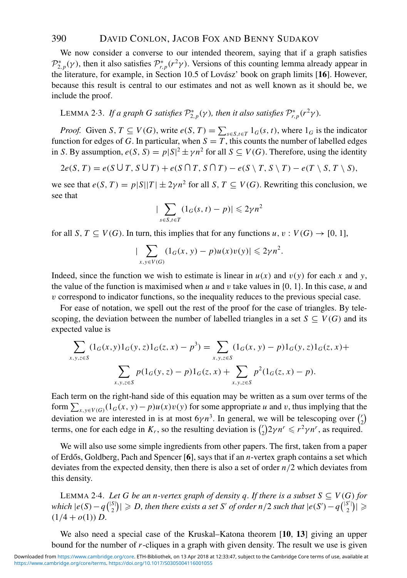We now consider a converse to our intended theorem, saying that if a graph satisfies  $\mathcal{P}_{2,p}^*(\gamma)$ , then it also satisfies  $\mathcal{P}_{r,p}^*(r^2\gamma)$ . Versions of this counting lemma already appear in the literature, for example, in Section 10.5 of Lovász' book on graph limits [16]. However, because this result is central to our estimates and not as well known as it should be, we include the proof.

LEMMA 2 $\cdot$ 3. If a graph G satisfies  $\mathcal{P}_{2,p}^*(\gamma)$ , then it also satisfies  $\mathcal{P}_{r,p}^*(r^2\gamma)$ .

*Proof.* Given *S*,  $T \subseteq V(G)$ , write  $e(S, T) = \sum_{s \in S, t \in T} 1_G(s, t)$ , where  $1_G$  is the indicator function for edges of *G*. In particular, when  $S = T$ , this counts the number of labelled edges in *S*. By assumption,  $e(S, S) = p|S|^2 \pm \gamma n^2$  for all  $S \subseteq V(G)$ . Therefore, using the identity

$$
2e(S,T) = e(S \cup T, S \cup T) + e(S \cap T, S \cap T) - e(S \setminus T, S \setminus T) - e(T \setminus S, T \setminus S),
$$

we see that  $e(S, T) = p|S||T| \pm 2\gamma n^2$  for all *S*,  $T \subseteq V(G)$ . Rewriting this conclusion, we see that

$$
|\sum_{s \in S, t \in T} (1_G(s, t) - p)| \leq 2\gamma n^2
$$

for all *S*,  $T \subseteq V(G)$ . In turn, this implies that for any functions  $u, v : V(G) \rightarrow [0, 1]$ ,

$$
|\sum_{x,y\in V(G)} (1_G(x,y)-p)u(x)v(y)| \leq 2\gamma n^2.
$$

Indeed, since the function we wish to estimate is linear in  $u(x)$  and  $v(y)$  for each x and y, the value of the function is maximised when *u* and *v* take values in  $\{0, 1\}$ . In this case, *u* and v correspond to indicator functions, so the inequality reduces to the previous special case.

For ease of notation, we spell out the rest of the proof for the case of triangles. By telescoping, the deviation between the number of labelled triangles in a set  $S \subseteq V(G)$  and its expected value is

$$
\sum_{x,y,z\in S} (1_G(x,y)1_G(y,z)1_G(z,x) - p^3) = \sum_{x,y,z\in S} (1_G(x,y) - p)1_G(y,z)1_G(z,x) + \sum_{x,y,z\in S} p(1_G(y,z) - p)1_G(z,x) + \sum_{x,y,z\in S} p^2(1_G(z,x) - p).
$$

Each term on the right-hand side of this equation may be written as a sum over terms of the form  $\sum_{x,y\in V(G)} (1_G(x, y) - p)u(x)v(y)$  for some appropriate *u* and *v*, thus implying that the deviation we are interested in is at most  $6\gamma n^3$ . In general, we will be telescoping over  $\binom{r}{2}$ terms, one for each edge in  $K_r$ , so the resulting deviation is  $\binom{r}{2} 2 \gamma n^r \leq r^2 \gamma n^r$ , as required.  $\binom{r}{2} 2 \gamma n^r \leq r^2 \gamma n^r$ , as required.

We will also use some simple ingredients from other papers. The first, taken from a paper of Erdős, Goldberg, Pach and Spencer [6], says that if an *n*-vertex graph contains a set which deviates from the expected density, then there is also a set of order *n*/2 which deviates from this density.

LEMMA 2<sup>.4</sup>. Let G be an n-vertex graph of density q. If there is a subset  $S \subseteq V(G)$  for *which*  $|e(S) - q^{\binom{|S|}{2}}$  $\binom{|S|}{2}$   $\geq D$ , then there exists a set S' of order n/2 such that  $|e(S') - q\binom{|S'|}{2}$  $\binom{S'}{2}$ | $\geqslant$  $(1/4 + o(1)) D$ .

We also need a special case of the Kruskal–Katona theorem [**10**, **13**] giving an upper bound for the number of *r*-cliques in a graph with given density. The result we use is given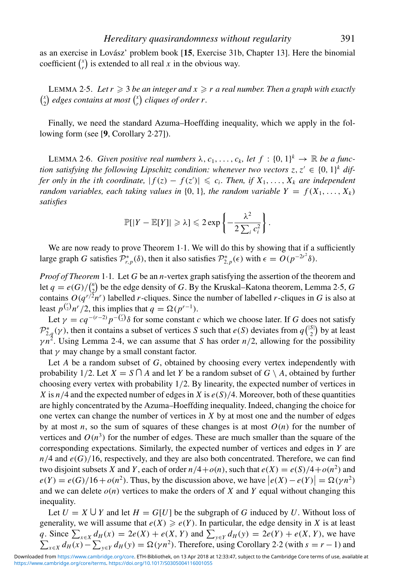as an exercise in Lovász' problem book [15, Exercise 31b, Chapter 13]. Here the binomial coefficient  $\binom{x}{r}$  $\binom{x}{r}$  is extended to all real *x* in the obvious way.

LEMMA 2 $\cdot$ 5. Let  $r \geqslant 3$  be an integer and  $x \geqslant r$  a real number. Then a graph with exactly  $\binom{x}{2}$  $\binom{x}{2}$  edges contains at most  $\binom{x}{r}$ *r cliques of order r.*

Finally, we need the standard Azuma–Hoeffding inequality, which we apply in the following form (see [**9**, Corollary 2·27]).

LEMMA 2.6. *Given positive real numbers*  $\lambda$ ,  $c_1, \ldots, c_k$ , *let*  $f : \{0, 1\}^k \to \mathbb{R}$  *be a function satisfying the following Lipschitz condition: whenever two vectors*  $z, z' \in \{0, 1\}^k$  *differ only in the ith coordinate,*  $|f(z) - f(z')| \leqslant c_i$ . Then, if  $X_1, \ldots, X_k$  are independent *random variables, each taking values in*  $\{0, 1\}$ *, the random variable*  $Y = f(X_1, \ldots, X_k)$ *satisfies*

$$
\mathbb{P}[|Y - \mathbb{E}[Y]| \geq \lambda] \leq 2 \exp \left\{-\frac{\lambda^2}{2 \sum_i c_i^2}\right\}.
$$

We are now ready to prove Theorem 1.1. We will do this by showing that if a sufficiently large graph *G* satisfies  $\mathcal{P}_{r,p}^*(\delta)$ , then it also satisfies  $\mathcal{P}_{2,p}^*(\epsilon)$  with  $\epsilon = O(p^{-2r^2}\delta)$ .

*Proof of Theorem* 1·1*.* Let *G* be an *n*-vertex graph satisfying the assertion of the theorem and  $\text{let } q = e(G) / \binom{n}{2}$ 2 be the edge density of *G*. By the Kruskal–Katona theorem, Lemma 2·5, *G* contains  $O(q^{r/2}n^r)$  labelled *r*-cliques. Since the number of labelled *r*-cliques in *G* is also at least  $p^{r/2}$ , this implies that  $q = \Omega(p^{r-1})$ .

Let  $\gamma = cq^{-(r-2)}p^{-\binom{r}{2}}\delta$  for some constant *c* which we choose later. If *G* does not satisfy  $\mathcal{P}_{2,q}^{*}(\gamma)$ , then it contains a subset of vertices *S* such that *e*(*S*) deviates from  $q\binom{|S|}{2}$  $_2^{\text{S}}$ ) by at least  $\gamma n^2$ . Using Lemma 2.4, we can assume that *S* has order  $n/2$ , allowing for the possibility that  $\gamma$  may change by a small constant factor.

Let *A* be a random subset of *G*, obtained by choosing every vertex independently with probability 1/2. Let  $X = S \cap A$  and let *Y* be a random subset of  $G \setminus A$ , obtained by further choosing every vertex with probability 1/2. By linearity, the expected number of vertices in *X* is  $n/4$  and the expected number of edges in *X* is  $e(S)/4$ . Moreover, both of these quantities are highly concentrated by the Azuma–Hoeffding inequality. Indeed, changing the choice for one vertex can change the number of vertices in *X* by at most one and the number of edges by at most *n*, so the sum of squares of these changes is at most  $O(n)$  for the number of vertices and  $O(n^3)$  for the number of edges. These are much smaller than the square of the corresponding expectations. Similarly, the expected number of vertices and edges in *Y* are  $n/4$  and  $e(G)/16$ , respectively, and they are also both concentrated. Therefore, we can find two disjoint subsets *X* and *Y*, each of order  $n/4 + o(n)$ , such that  $e(X) = e(S)/4 + o(n^2)$  and  $e(Y) = e(G)/16 + o(n^2)$ . Thus, by the discussion above, we have  $|e(X) - e(Y)| = \Omega(\gamma n^2)$ and we can delete  $o(n)$  vertices to make the orders of *X* and *Y* equal without changing this inequality.

Let  $U = X \cup Y$  and let  $H = G[U]$  be the subgraph of *G* induced by *U*. Without loss of generality, we will assume that  $e(X) \geqslant e(Y)$ . In particular, the edge density in *X* is at least *q*. Since  $\sum_{x \in X} d_H(x) = 2e(X) + e(X, Y)$  and  $\sum_{y \in Y}$ <br> $\sum_{x \in X} d_H(x) - \sum_{y \in Y} d_H(y) = \Omega(\gamma n^2)$ . Therefore, us:  $d_H(y) = 2e(Y) + e(X, Y)$ , we have  $\sum_{x \in X} d_H(x) - \sum_{y \in Y} d_H(y) = \Omega(\gamma n^2)$ . Therefore, using Corollary 2·2 (with  $s = r - 1$ ) and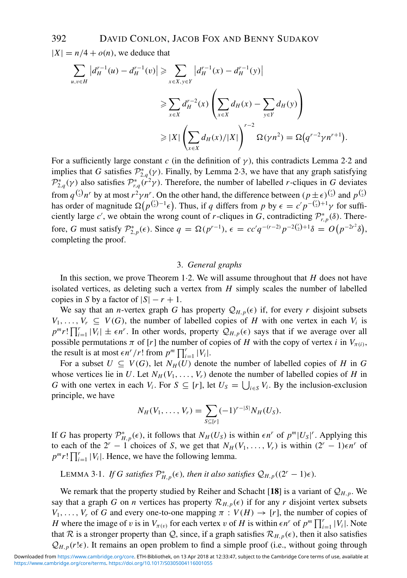$|X| = n/4 + o(n)$ , we deduce that

$$
\sum_{u,v \in H} |d_H^{r-1}(u) - d_H^{r-1}(v)| \ge \sum_{x \in X, y \in Y} |d_H^{r-1}(x) - d_H^{r-1}(y)|
$$
  

$$
\ge \sum_{x \in X} d_H^{r-2}(x) \left( \sum_{x \in X} d_H(x) - \sum_{y \in Y} d_H(y) \right)
$$
  

$$
\ge |X| \left( \sum_{x \in X} d_H(x) / |X| \right)^{r-2} \Omega(\gamma n^2) = \Omega(q^{r-2}\gamma n^{r+1}).
$$

For a sufficiently large constant *c* (in the definition of  $\gamma$ ), this contradicts Lemma 2.2 and implies that *G* satisfies  $\mathcal{P}_{2,q}^*(\gamma)$ . Finally, by Lemma 2.3, we have that any graph satisfying  $\mathcal{P}_{2,q}^*(\gamma)$  also satisfies  $\mathcal{P}_{r,q}^*(r^2\gamma)$ . Therefore, the number of labelled *r*-cliques in *G* deviates from  $q^{r \choose 2} n^r$  by at most  $r^2 \gamma n^r$ . On the other hand, the difference between  $(p \pm \epsilon)^{r \choose 2}$  and  $p^{r \choose 2}$ has order of magnitude  $\Omega(p^{r-1} \epsilon)$ . Thus, if *q* differs from *p* by  $\epsilon = c' p^{-(r-1)} \gamma$  for sufficiently large *c'*, we obtain the wrong count of *r*-cliques in *G*, contradicting  $\mathcal{P}_{r,p}^{*}(\delta)$ . Therefore, *G* must satisfy  $\mathcal{P}_{2,p}^{*}(\epsilon)$ . Since  $q = \Omega(p^{r-1}), \epsilon = cc'q^{-(r-2)}p^{-2\binom{r}{2}+1}\delta = O(p^{-2r^2}\delta)$ , completing the proof.

#### 3. *General graphs*

In this section, we prove Theorem 1·2. We will assume throughout that *H* does not have isolated vertices, as deleting such a vertex from *H* simply scales the number of labelled copies in *S* by a factor of  $|S| - r + 1$ .

We say that an *n*-vertex graph *G* has property  $\mathcal{Q}_{H,p}(\epsilon)$  if, for every *r* disjoint subsets  $V_1, \ldots, V_r \subseteq V(G)$ , the number of labelled copies of *H* with one vertex in each  $V_i$  is  $p^m r! \prod_{i=1}^r |V_i| \pm \epsilon n^r$ . In other words, property  $\mathcal{Q}_{H,p}(\epsilon)$  says that if we average over all possible permutations  $\pi$  of [*r*] the number of copies of *H* with the copy of vertex *i* in  $V_{\pi(i)}$ , the result is at most  $\epsilon n^r / r!$  from  $p^m \prod_{i=1}^r |V_i|$ .

For a subset  $U \subseteq V(G)$ , let  $N_H(U)$  denote the number of labelled copies of *H* in *G* whose vertices lie in *U*. Let  $N_H(V_1,\ldots,V_r)$  denote the number of labelled copies of *H* in *G* with one vertex in each *V<sub>i</sub>*. For  $S \subseteq [r]$ , let  $U_S = \bigcup_{i \in S} V_i$ . By the inclusion-exclusion principle, we have

$$
N_H(V_1,\ldots,V_r)=\sum_{S\subseteq [r]} (-1)^{r-|S|} N_H(U_S).
$$

If *G* has property  $\mathcal{P}_{H,p}^{*}(\epsilon)$ , it follows that  $N_H(U_S)$  is within  $\epsilon n^r$  of  $p^m|U_S|^r$ . Applying this to each of the  $2^r - 1$  choices of *S*, we get that  $N_H(V_1, \ldots, V_r)$  is within  $(2^r - 1)\epsilon n^r$  of  $p^m r! \prod_{i=1}^r |V_i|$ . Hence, we have the following lemma.

LEMMA 3 $\cdot$ 1. *If G satisfies*  $\mathcal{P}_{H,p}^*(\epsilon)$ , then it also satisfies  $\mathcal{Q}_{H,p}((2^r-1)\epsilon)$ .

We remark that the property studied by Reiher and Schacht [18] is a variant of  $\mathcal{Q}_{H,p}$ . We say that a graph *G* on *n* vertices has property  $\mathcal{R}_{H,p}(\epsilon)$  if for any *r* disjoint vertex subsets  $V_1, \ldots, V_r$  of *G* and every one-to-one mapping  $\pi : V(H) \to [r]$ , the number of copies of *H* where the image of v is in  $V_{\pi(v)}$  for each vertex v of *H* is within  $\epsilon n^r$  of  $p^m \prod_{i=1}^r |V_i|$ . Note that R is a stronger property than Q, since, if a graph satisfies  $\mathcal{R}_{H,p}(\epsilon)$ , then it also satisfies  $Q_{H,p}(r!\epsilon)$ . It remains an open problem to find a simple proof (i.e., without going through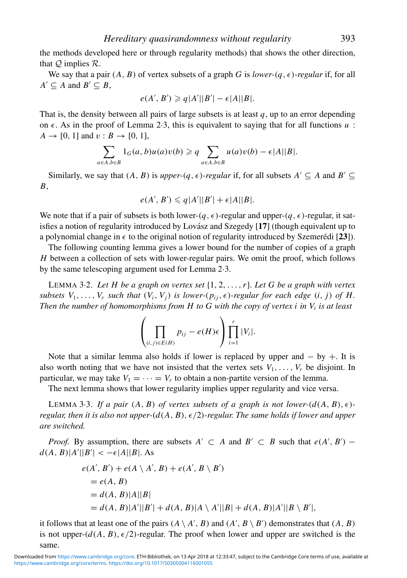the methods developed here or through regularity methods) that shows the other direction, that  $Q$  implies  $R$ .

We say that a pair  $(A, B)$  of vertex subsets of a graph *G* is *lower-* $(q, \epsilon)$ -regular if, for all  $A' \subseteq A$  and  $B' \subseteq B$ ,

$$
e(A', B') \geqslant q|A'||B'| - \epsilon|A||B|.
$$

That is, the density between all pairs of large subsets is at least *q*, up to an error depending on  $\epsilon$ . As in the proof of Lemma 2.3, this is equivalent to saying that for all functions  $u$ :  $A \rightarrow [0, 1]$  and  $v : B \rightarrow [0, 1]$ ,

$$
\sum_{a\in A,b\in B} 1_G(a,b)u(a)v(b) \geqslant q \sum_{a\in A,b\in B} u(a)v(b) - \epsilon |A||B|.
$$

Similarly, we say that  $(A, B)$  is *upper-* $(q, \epsilon)$ -regular if, for all subsets  $A' \subseteq A$  and  $B' \subseteq$ *B*,

$$
e(A', B') \leqslant q|A'||B'| + \epsilon|A||B|.
$$

We note that if a pair of subsets is both lower- $(q, \epsilon)$ -regular and upper- $(q, \epsilon)$ -regular, it satisfies a notion of regularity introduced by Lovász and Szegedy [17] (though equivalent up to a polynomial change in  $\epsilon$  to the original notion of regularity introduced by Szemerédi [23]).

The following counting lemma gives a lower bound for the number of copies of a graph *H* between a collection of sets with lower-regular pairs. We omit the proof, which follows by the same telescoping argument used for Lemma 2·3.

LEMMA 3·2. *Let H be a graph on vertex set* {1, 2,...,*r*}*. Let G be a graph with vertex subsets*  $V_1, \ldots, V_r$  *such that*  $(V_i, V_j)$  *is lower-* $(p_{ij}, \epsilon)$ -regular for each edge  $(i, j)$  of H. *Then the number of homomorphisms from H to G with the copy of vertex i in*  $V_i$  *is at least* 

$$
\left(\prod_{(i,j)\in E(H)} p_{ij} - e(H)\epsilon\right) \prod_{i=1}^r |V_i|.
$$

Note that a similar lemma also holds if lower is replaced by upper and  $-$  by  $+$ . It is also worth noting that we have not insisted that the vertex sets  $V_1, \ldots, V_r$  be disjoint. In particular, we may take  $V_1 = \cdots = V_r$  to obtain a non-partite version of the lemma.

The next lemma shows that lower regularity implies upper regularity and vice versa.

LEMMA 3.3. If a pair  $(A, B)$  of vertex subsets of a graph is not lower- $(d(A, B), \epsilon)$ *regular, then it is also not upper-*( $d(A, B)$ ,  $\epsilon/2$ )-regular. The same holds if lower and upper *are switched.*

*Proof.* By assumption, there are subsets  $A' \subset A$  and  $B' \subset B$  such that  $e(A', B')$  –  $d(A, B)|A'||B'| < -\epsilon |A||B|$ . As

$$
e(A', B') + e(A \setminus A', B) + e(A', B \setminus B')
$$
  
=  $e(A, B)$   
=  $d(A, B)|A||B|$   
=  $d(A, B)|A'||B'| + d(A, B)|A \setminus A'||B| + d(A, B)|A'||B \setminus B'|$ ,

it follows that at least one of the pairs  $(A \setminus A', B)$  and  $(A', B \setminus B')$  demonstrates that  $(A, B)$ is not upper- $(d(A, B), \epsilon/2)$ -regular. The proof when lower and upper are switched is the same.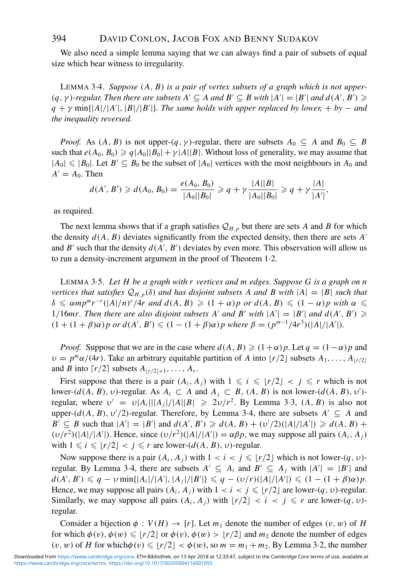We also need a simple lemma saying that we can always find a pair of subsets of equal size which bear witness to irregularity.

LEMMA 3·4. *Suppose* (*A*, *B*) *is a pair of vertex subsets of a graph which is not upper-*  $(q, \gamma)$ -regular. Then there are subsets  $A' \subseteq A$  and  $B' \subseteq B$  with  $|A'| = |B'|$  and  $d(A', B') \geq$  $q + \gamma \min(|A|/|A'|, |B|/|B'|)$ . The same holds with upper replaced by lower,  $+$  by  $-$  and *the inequality reversed.*

*Proof.* As  $(A, B)$  is not upper- $(q, \gamma)$ -regular, there are subsets  $A_0 \subseteq A$  and  $B_0 \subseteq B$ such that  $e(A_0, B_0) \geqslant q|A_0||B_0| + \gamma|A||B|$ . Without loss of generality, we may assume that  $|A_0| \leq |B_0|$ . Let  $B' \subseteq B_0$  be the subset of  $|A_0|$  vertices with the most neighbours in  $A_0$  and  $A' = A_0$ . Then

$$
d(A', B') \geq d(A_0, B_0) = \frac{e(A_0, B_0)}{|A_0||B_0|} \geqslant q + \gamma \frac{|A||B|}{|A_0||B_0|} \geqslant q + \gamma \frac{|A|}{|A'|},
$$

as required.

The next lemma shows that if a graph satisfies  $Q_{H,p}$  but there are sets *A* and *B* for which the density  $d(A, B)$  deviates significantly from the expected density, then there are sets  $A'$ and  $B'$  such that the density  $d(A', B')$  deviates by even more. This observation will allow us to run a density-increment argument in the proof of Theorem 1·2.

LEMMA 3·5. *Let H be a graph with r vertices and m edges. Suppose G is a graph on n vertices that satisfies*  $Q_{H,p}(\delta)$  *and has disjoint subsets A and B with*  $|A| = |B|$  *such that*  $\delta \leq \alpha mp^m r^{-r} (|A|/n)^r / 4r$  and  $d(A, B) \geq (1 + \alpha)p$  or  $d(A, B) \leq (1 - \alpha)p$  with  $\alpha \leq$ 1/16*mr. Then there are also disjoint subsets A' and B' with*  $|A'| = |B'|$  *and*  $d(A', B') \ge$  $(1 + (1 + \beta)\alpha)p$  or  $d(A', B') \leq (1 - (1 + \beta)\alpha)p$  where  $\beta = (p^{m-1}/4r^3)(|A|/|A'|)$ .

*Proof.* Suppose that we are in the case where  $d(A, B) \geq (1+\alpha)p$ . Let  $q = (1-\alpha)p$  and  $v = p^m \alpha/(4r)$ . Take an arbitrary equitable partition of *A* into  $\lfloor r/2 \rfloor$  subsets  $A_1, \ldots, A_{\lfloor r/2 \rfloor}$ and *B* into  $\lceil r/2 \rceil$  subsets  $A_{\lfloor r/2 \rfloor + 1}, \ldots, A_r$ .

First suppose that there is a pair  $(A_i, A_j)$  with  $1 \leq i \leq r/2$   $1 \leq j \leq r$  which is not lower-( $d(A, B)$ ,  $v$ )-regular. As  $A_i \subset A$  and  $A_j \subset B$ ,  $(A, B)$  is not lower-( $d(A, B)$ ,  $v'$ )regular, where  $v' = v|A_i|||A_j|/|A||B| \ge 2v/r^2$ . By Lemma 3.3,  $(A, B)$  is also not upper- $(d(A, B), v'/2)$ -regular. Therefore, by Lemma 3·4, there are subsets  $A' \subseteq A$  and *B*<sup> $\prime$ </sup>  $\subseteq$  *B* such that  $|A'| = |B'|$  and  $d(A', B') \ge d(A, B) + (v'/2)(|A|/|A'|) \ge d(A, B) +$  $(v/r^2)(|A|/|A'|)$ . Hence, since  $(v/r^2)(|A|/|A'|) = \alpha \beta p$ , we may suppose all pairs  $(A_i, A_j)$ with  $1 \leq i \leq \lfloor r/2 \rfloor < j \leq r$  are lower- $(d(A, B), v)$ -regular.

Now suppose there is a pair  $(A_i, A_j)$  with  $1 < i < j \leqslant \lfloor r/2 \rfloor$  which is not lower- $(q, v)$ regular. By Lemma 3·4, there are subsets  $A' \subseteq A_i$  and  $B' \subseteq A_j$  with  $|A'| = |B'|$  and  $d(A', B') \leq q - \nu \min\{|A_i|/|A'|, |A_j|/|B'|\} \leq q - (\nu/r)(|A|/|A'|) \leq (1 - (1 + \beta)\alpha)p$ . Hence, we may suppose all pairs  $(A_i, A_j)$  with  $1 < i < j \leqslant \lfloor r/2 \rfloor$  are lower- $(q, v)$ -regular. Similarly, we may suppose all pairs  $(A_i, A_j)$  with  $\lfloor r/2 \rfloor < i < j \leq r$  are lower- $(q, v)$ regular.

Consider a bijection  $\phi: V(H) \to [r]$ . Let  $m_1$  denote the number of edges  $(v, w)$  of *H* for which  $\phi(v), \phi(w) \leqslant \lfloor r/2 \rfloor$  or  $\phi(v), \phi(w) > \lfloor r/2 \rfloor$  and  $m_2$  denote the number of edges  $(v, w)$  of *H* for which $\phi(v) \leq r/2$   $\leq \phi(w)$ , so  $m = m_1 + m_2$ . By Lemma 3.2, the number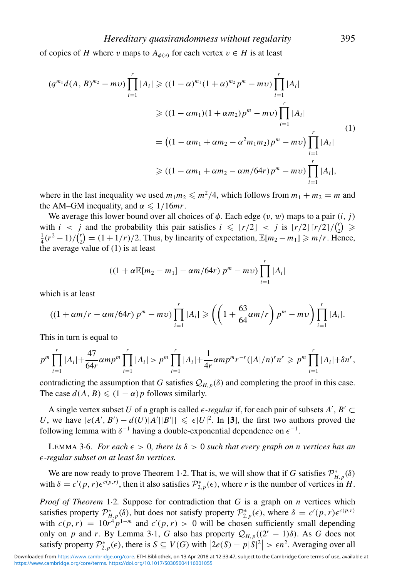of copies of *H* where v maps to  $A_{\phi(v)}$  for each vertex  $v \in H$  is at least

$$
(q^{m_1}d(A, B)^{m_2} - m\nu) \prod_{i=1}^r |A_i| \ge ((1 - \alpha)^{m_1}(1 + \alpha)^{m_2}p^m - m\nu) \prod_{i=1}^r |A_i|
$$
  
\n
$$
\ge ((1 - \alpha m_1)(1 + \alpha m_2)p^m - m\nu) \prod_{i=1}^r |A_i|
$$
  
\n
$$
= ((1 - \alpha m_1 + \alpha m_2 - \alpha^2 m_1 m_2)p^m - m\nu) \prod_{i=1}^r |A_i|
$$
  
\n
$$
\ge ((1 - \alpha m_1 + \alpha m_2 - \alpha m/64r)p^m - m\nu) \prod_{i=1}^r |A_i|,
$$
 (1)

where in the last inequality we used  $m_1m_2 \leq m^2/4$ , which follows from  $m_1 + m_2 = m$  and the AM–GM inequality, and  $\alpha \leq 1/16mr$ .

We average this lower bound over all choices of  $\phi$ . Each edge  $(v, w)$  maps to a pair  $(i, j)$ with  $i < j$  and the probability this pair satisfies  $i \leqslant \lfloor r/2 \rfloor < j$  is  $\lfloor r/2 \rfloor \lceil r/2 \rceil / \binom{r}{2} \geqslant$  $\frac{1}{4}(r^2-1)/(\frac{r}{2}) = (1+1/r)/2$ . Thus, by linearity of expectation,  $\mathbb{E}[m_2 - m_1] \ge m/r$ . He  $\binom{r}{2} = (1 + 1/r)/2$ . Thus, by linearity of expectation,  $\mathbb{E}[m_2 - m_1] \geq m/r$ . Hence, the average value of (1) is at least

$$
((1+\alpha \mathbb{E}[m_2 - m_1] - \alpha m/64r) p^m - mv) \prod_{i=1}^r |A_i|
$$

which is at least

$$
((1+\alpha m/r - \alpha m/64r) pm - mv) \prod_{i=1}^{r} |A_i| \geq \left( \left(1 + \frac{63}{64} \alpha m/r\right) pm - mv \right) \prod_{i=1}^{r} |A_i|.
$$

This in turn is equal to

$$
p^m \prod_{i=1}^r |A_i| + \frac{47}{64r} \alpha m p^m \prod_{i=1}^r |A_i| > p^m \prod_{i=1}^r |A_i| + \frac{1}{4r} \alpha m p^m r^{-r} (|A|/n)^r n^r \geqslant p^m \prod_{i=1}^r |A_i| + \delta n^r,
$$

contradicting the assumption that *G* satisfies  $Q_{H,p}(\delta)$  and completing the proof in this case. The case  $d(A, B) \leq (1 - \alpha)p$  follows similarly.

A single vertex subset *U* of a graph is called  $\epsilon$ -regular if, for each pair of subsets *A'*, *B'*  $\subset$ *U*, we have  $|e(A', B') - d(U)|A'||B'|| \leq \epsilon |U|^2$ . In [3], the first two authors proved the following lemma with  $\delta^{-1}$  having a double-exponential dependence on  $\epsilon^{-1}$ .

LEMMA 3.6. *For each*  $\epsilon > 0$ , there is  $\delta > 0$  such that every graph on n vertices has an -*-regular subset on at least* δ*n vertices.*

We are now ready to prove Theorem 1.2. That is, we will show that if *G* satisfies  $\mathcal{P}_{H,p}^*(\delta)$ with  $\delta = c'(p, r) \epsilon^{c(p, r)}$ , then it also satisfies  $\mathcal{P}_{2, p}^*(\epsilon)$ , where *r* is the number of vertices in *H*.

*Proof of Theorem* 1·2*.* Suppose for contradiction that *G* is a graph on *n* vertices which satisfies property  $\mathcal{P}_{H,p}^*(\delta)$ , but does not satisfy property  $\mathcal{P}_{2,p}^*(\epsilon)$ , where  $\delta = c'(p,r)\epsilon^{c(p,r)}$ with  $c(p, r) = 10r^4p^{1-m}$  and  $c'(p, r) > 0$  will be chosen sufficiently small depending only on *p* and *r*. By Lemma 3·1, *G* also has property  $Q_{H,p}((2^r - 1)\delta)$ . As *G* does not satisfy property  $\mathcal{P}_{2,p}^*(\epsilon)$ , there is  $S \subseteq V(G)$  with  $|2e(S) - p|S|^2 > \epsilon n^2$ . Averaging over all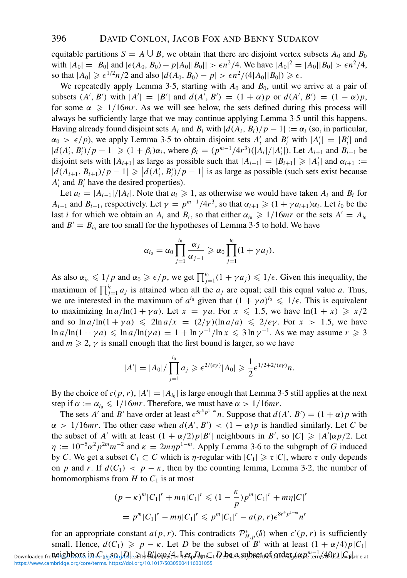equitable partitions  $S = A \cup B$ , we obtain that there are disjoint vertex subsets  $A_0$  and  $B_0$ with  $|A_0| = |B_0|$  and  $|e(A_0, B_0) - p|A_0||B_0|| > \epsilon n^2/4$ . We have  $|A_0|^2 = |A_0||B_0| > \epsilon n^2/4$ , so that  $|A_0| \ge \epsilon^{1/2} n/2$  and also  $|d(A_0, B_0) - p| > \epsilon n^2/(4|A_0||B_0|) \ge \epsilon$ .

We repeatedly apply Lemma 3.5, starting with  $A_0$  and  $B_0$ , until we arrive at a pair of subsets  $(A', B')$  with  $|A'| = |B'|$  and  $d(A', B') = (1 + \alpha)p$  or  $d(A', B') = (1 - \alpha)p$ , for some  $\alpha \geq 1/16mr$ . As we will see below, the sets defined during this process will always be sufficiently large that we may continue applying Lemma 3·5 until this happens. Having already found disjoint sets  $A_i$  and  $B_i$  with  $|d(A_i, B_i)/p - 1| := \alpha_i$  (so, in particular,  $\alpha_0 > \epsilon/p$ , we apply Lemma 3.5 to obtain disjoint sets  $A'_i$  and  $B'_i$  with  $|A'_i| = |B'_i|$  and  $|d(A'_i, B'_i)/p - 1| \geq (1 + \beta_i)\alpha_i$ , where  $\beta_i = (p^{m-1}/4r^3)(|A_i|/|A'_i|)$ . Let  $A_{i+1}$  and  $B_{i+1}$  be disjoint sets with  $|A_{i+1}|$  as large as possible such that  $|A_{i+1}|=|B_{i+1}| \geq |A'_i|$  and  $\alpha_{i+1} :=$  $|d(A_{i+1}, B_{i+1})/p - 1| \geq |d(A'_i, B'_i)/p - 1|$  is as large as possible (such sets exist because  $A'_i$  and  $B'_i$  have the desired properties).

Let  $a_i = |A_{i-1}|/|A_i|$ . Note that  $a_i \ge 1$ , as otherwise we would have taken  $A_i$  and  $B_i$  for *A<sub>i−1</sub>* and *B<sub>i−1</sub>*, respectively. Let  $\gamma = p^{m-1}/4r^3$ , so that  $\alpha_{i+1} \geqslant (1 + \gamma a_{i+1})\alpha_i$ . Let  $i_0$  be the last *i* for which we obtain an  $A_i$  and  $B_i$ , so that either  $\alpha_{i_0} \geq 1/16mr$  or the sets  $A' = A_{i_0}$ and  $B' = B_{i_0}$  are too small for the hypotheses of Lemma 3.5 to hold. We have

$$
\alpha_{i_0} = \alpha_0 \prod_{j=1}^{i_0} \frac{\alpha_j}{\alpha_{j-1}} \geqslant \alpha_0 \prod_{j=1}^{i_0} (1 + \gamma a_j).
$$

As also  $\alpha_{i_0} \leq 1/p$  and  $\alpha_0 \geq \epsilon/p$ , we get  $\prod_{j=1}^{i_0} (1 + \gamma a_j) \leq 1/\epsilon$ . Given this inequality, the maximum of  $\prod_{j=1}^{i_0} a_j$  is attained when all the  $a_j$  are equal; call this equal value a. Thus, we are interested in the maximum of  $a^{i_0}$  given that  $(1 + \gamma a)^{i_0} \leq 1/\epsilon$ . This is equivalent to maximizing  $\ln a/\ln(1 + \gamma a)$ . Let  $x = \gamma a$ . For  $x \le 1.5$ , we have  $\ln(1 + x) \ge x/2$ and so  $\ln a/\ln(1 + \gamma a) \leq 2\ln a/x = (2/\gamma)(\ln a/a) \leq 2/e\gamma$ . For  $x > 1.5$ , we have  $\ln a/\ln(1 + \gamma a) \leqslant \ln a/\ln(\gamma a) = 1 + \ln \gamma^{-1}/\ln x \leqslant 3 \ln \gamma^{-1}$ . As we may assume  $r \geqslant 3$ and  $m \geq 2$ ,  $\gamma$  is small enough that the first bound is larger, so we have

$$
|A'| = |A_0| / \prod_{j=1}^{i_0} a_j \geqslant \epsilon^{2/(e\gamma)} |A_0| \geqslant \frac{1}{2} \epsilon^{1/2 + 2/(e\gamma)} n.
$$

By the choice of  $c(p, r)$ ,  $|A'| = |A_{i_0}|$  is large enough that Lemma 3.5 still applies at the next step if  $\alpha := \alpha_{i_0} \leq 1/16mr$ . Therefore, we must have  $\alpha > 1/16mr$ .

The sets *A'* and *B'* have order at least  $\epsilon^{5r^3 p^{1-m}} n$ . Suppose that  $d(A', B') = (1 + \alpha)p$  with  $\alpha > 1/16mr$ . The other case when  $d(A', B') < (1 - \alpha)p$  is handled similarly. Let *C* be the subset of *A'* with at least  $(1 + \alpha/2)p|B'|$  neighbours in *B'*, so  $|C| \ge |A'| \alpha p/2$ . Let  $\eta := 10^{-5} \alpha^2 p^{2m} m^{-2}$  and  $\kappa = 2m \eta p^{1-m}$ . Apply Lemma 3.6 to the subgraph of *G* induced by *C*. We get a subset  $C_1 \subset C$  which is *η*-regular with  $|C_1| \ge \tau |C|$ , where  $\tau$  only depends on *p* and *r*. If  $d(C_1) < p - \kappa$ , then by the counting lemma, Lemma 3.2, the number of homomorphisms from  $H$  to  $C_1$  is at most

$$
(p - \kappa)^m |C_1|^r + m\eta |C_1|^r \le (1 - \frac{\kappa}{p})p^m |C_1|^r + m\eta |C|^r
$$
  
=  $p^m |C_1|^r - m\eta |C_1|^r \le p^m |C_1|^r - a(p, r)e^{8r^4 p^{1-m}} n^r$ 

for an appropriate constant  $a(p, r)$ . This contradicts  $\mathcal{P}_{H, p}^{*}(\delta)$  when  $c'(p, r)$  is sufficiently small. Hence,  $d(C_1) \geqslant p - \kappa$ . Let *D* be the subset of *B'* with at least  $(1 + \alpha/4)p|C_1|$ Downloaded fro $\Re$ G $i$ g $\Phi$ b $\Im$ C $\Re$ k $\Im$ l $\Im$ l $\Im$ l $\Box$ le $\Im$ e $\Im$ H $\Re$ bl $\Re$ k $\Re$ An $\Im$ E $\Im$ h $\Im$ 2 $\Im$ l $\Im$ at  $D$ 21 $\Im$ at  $D$ 2. $\Re$ z $\Im$ A $\Im$ A $\Re$ C $\Im$ A $\Re$ celt $\Im$ A $\Im$ C $\Im$ l $\Im$  $\Im$ A $\Im$ [https://www.cambridge.org/core/terms.](https://www.cambridge.org/core/terms) <https://doi.org/10.1017/S0305004116001055>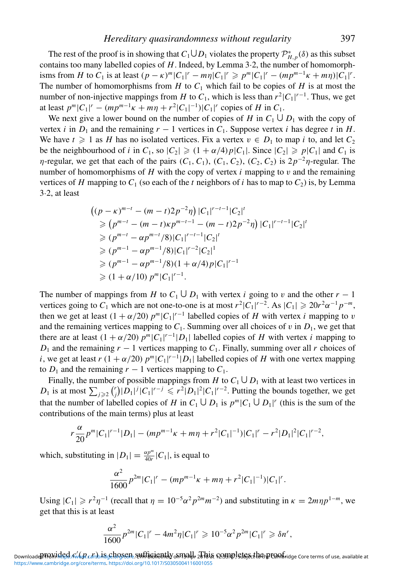The rest of the proof is in showing that  $C_1 \cup D_1$  violates the property  $\mathcal{P}_{H,p}^*(\delta)$  as this subset contains too many labelled copies of *H*. Indeed, by Lemma 3·2, the number of homomorphisms from *H* to *C*<sub>1</sub> is at least  $(p - \kappa)^m |C_1|^r - m\eta |C_1|^r \geq p^m |C_1|^r - (mp^{m-1}\kappa + m\eta)|C_1|^r$ . The number of homomorphisms from  $H$  to  $C_1$  which fail to be copies of  $H$  is at most the number of non-injective mappings from *H* to  $C_1$ , which is less than  $r^2|C_1|^{r-1}$ . Thus, we get at least  $p^m |C_1|^r - (mp^{m-1}\kappa + m\eta + r^2|C_1|^{-1})|C_1|^r$  copies of *H* in  $C_1$ .

We next give a lower bound on the number of copies of *H* in  $C_1 \cup D_1$  with the copy of vertex *i* in  $D_1$  and the remaining  $r - 1$  vertices in  $C_1$ . Suppose vertex *i* has degree *t* in *H*. We have  $t \geq 1$  as *H* has no isolated vertices. Fix a vertex  $v \in D_1$  to map *i* to, and let  $C_2$ be the neighbourhood of *i* in  $C_1$ , so  $|C_2| \geq (1 + \alpha/4)p|C_1|$ . Since  $|C_2| \geq p|C_1|$  and  $C_1$  is  $η$ -regular, we get that each of the pairs  $(C_1, C_1)$ ,  $(C_1, C_2)$ ,  $(C_2, C_2)$  is  $2p^{-2}η$ -regular. The number of homomorphisms of  $H$  with the copy of vertex  $i$  mapping to  $v$  and the remaining vertices of *H* mapping to  $C_1$  (so each of the *t* neighbors of *i* has to map to  $C_2$ ) is, by Lemma 3·2, at least

$$
((p - \kappa)^{m-t} - (m - t)2p^{-2}\eta) |C_1|^{r-t-1} |C_2|^t
$$
  
\n
$$
\geq (p^{m-t} - (m - t)\kappa p^{m-t-1} - (m - t)2p^{-2}\eta) |C_1|^{r-t-1} |C_2|^t
$$
  
\n
$$
\geq (p^{m-t} - \alpha p^{m-t}/8) |C_1|^{r-t-1} |C_2|^t
$$
  
\n
$$
\geq (p^{m-1} - \alpha p^{m-1}/8) |C_1|^{r-2} |C_2|^1
$$
  
\n
$$
\geq (p^{m-1} - \alpha p^{m-1}/8) (1 + \alpha/4) p |C_1|^{r-1}
$$
  
\n
$$
\geq (1 + \alpha/10) p^m |C_1|^{r-1}.
$$

The number of mappings from *H* to  $C_1 \cup D_1$  with vertex *i* going to *v* and the other  $r - 1$ vertices going to  $C_1$  which are not one-to-one is at most  $r^2|C_1|^{r-2}$ . As  $|C_1| \geq 20r^2\alpha^{-1}p^{-m}$ , then we get at least  $(1 + \alpha/20) p^m |C_1|^{r-1}$  labelled copies of *H* with vertex *i* mapping to v and the remaining vertices mapping to  $C_1$ . Summing over all choices of v in  $D_1$ , we get that there are at least  $(1 + \alpha/20) p^m |C_1|^{r-1} |D_1|$  labelled copies of *H* with vertex *i* mapping to  $D_1$  and the remaining  $r - 1$  vertices mapping to  $C_1$ . Finally, summing over all r choices of *i*, we get at least  $r(1 + \alpha/20) p^m |C_1|^{r-1} |D_1|$  labelled copies of *H* with one vertex mapping to  $D_1$  and the remaining  $r - 1$  vertices mapping to  $C_1$ .

Finally, the number of possible mappings from *H* to  $C_1 \cup D_1$  with at least two vertices in  $D_1$  is at most  $\sum_{j\geqslant 2} \binom{r}{j}$  $\int_{I}^{T}$  $\int$  $|D_1|^j$  $|C_1|^{r-j} \leq r^2$  $|D_1|^2$  $|C_1|^{r-2}$ . Putting the bounds together, we get that the number of labelled copies of *H* in  $C_1 \cup D_1$  is  $p^m | C_1 \cup D_1 |^r$  (this is the sum of the contributions of the main terms) plus at least

$$
r\frac{\alpha}{20}p^{m}|C_1|^{r-1}|D_1|-(mp^{m-1}\kappa+m\eta+r^2|C_1|^{-1})|C_1|^r-r^2|D_1|^2|C_1|^{r-2},
$$

which, substituting in  $|D_1| = \frac{\alpha p^m}{40r} |C_1|$ , is equal to

$$
\frac{\alpha^2}{1600}p^{2m}|C_1|^r-(mp^{m-1}\kappa+m\eta+r^2|C_1|^{-1})|C_1|^r.
$$

Using  $|C_1| \ge r^2 \eta^{-1}$  (recall that  $\eta = 10^{-5} \alpha^2 p^{2m} m^{-2}$ ) and substituting in  $\kappa = 2m\eta p^{1-m}$ , we get that this is at least

$$
\frac{\alpha^2}{1600}p^{2m}|C_1|^r-4m^2\eta|C_1|^r\geqslant 10^{-5}\alpha^2p^{2m}|C_1|^r\geqslant \delta n^r,
$$

DownloadePFQNiQegd./G/\\/p.s.thb.i8gc.bgsen\_sHiffBujentdy.o.m3ald=2Thi&CO334pletGSctb&nptQQfridge Core terms of use, available at [https://www.cambridge.org/core/terms.](https://www.cambridge.org/core/terms) <https://doi.org/10.1017/S0305004116001055>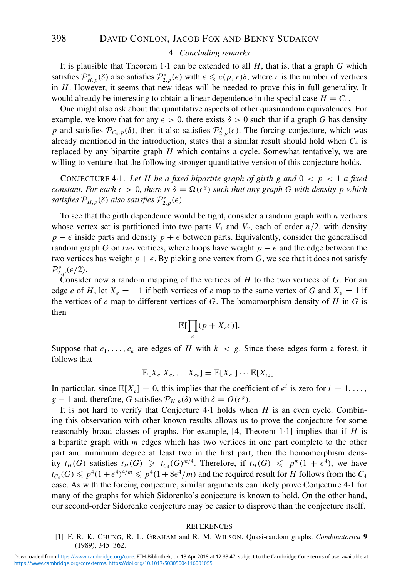#### 4. *Concluding remarks*

It is plausible that Theorem 1·1 can be extended to all *H*, that is, that a graph *G* which satisfies  $\mathcal{P}_{H,p}^*(\delta)$  also satisfies  $\mathcal{P}_{2,p}^*(\epsilon)$  with  $\epsilon \leq c(p,r)\delta$ , where *r* is the number of vertices in *H*. However, it seems that new ideas will be needed to prove this in full generality. It would already be interesting to obtain a linear dependence in the special case  $H = C_4$ .

One might also ask about the quantitative aspects of other quasirandom equivalences. For example, we know that for any  $\epsilon > 0$ , there exists  $\delta > 0$  such that if a graph *G* has density *p* and satisfies  $\mathcal{P}_{C_4,p}(\delta)$ , then it also satisfies  $\mathcal{P}_{2,p}^*(\epsilon)$ . The forcing conjecture, which was already mentioned in the introduction, states that a similar result should hold when  $C_4$  is replaced by any bipartite graph *H* which contains a cycle. Somewhat tentatively, we are willing to venture that the following stronger quantitative version of this conjecture holds.

CONJECTURE 4.1. Let H be a fixed bipartite graph of girth g and  $0 < p < 1$  a fixed *constant. For each*  $\epsilon > 0$ , there is  $\delta = \Omega(\epsilon^g)$  such that any graph G with density p which *satisfies*  $\mathcal{P}_{H,p}(\delta)$  *also satisfies*  $\mathcal{P}_{2,p}^{*}(\epsilon)$ *.* 

To see that the girth dependence would be tight, consider a random graph with *n* vertices whose vertex set is partitioned into two parts  $V_1$  and  $V_2$ , each of order  $n/2$ , with density  $p - \epsilon$  inside parts and density  $p + \epsilon$  between parts. Equivalently, consider the generalised random graph *G* on *two* vertices, where loops have weight  $p - \epsilon$  and the edge between the two vertices has weight  $p + \epsilon$ . By picking one vertex from G, we see that it does not satisfy  $\mathcal{P}_{2,p}^*(\epsilon/2).$ 

Consider now a random mapping of the vertices of *H* to the two vertices of *G*. For an edge *e* of *H*, let  $X_e = -1$  if both vertices of *e* map to the same vertex of *G* and  $X_e = 1$  if the vertices of *e* map to different vertices of *G*. The homomorphism density of *H* in *G* is then

$$
\mathbb{E}[\prod_e(p+X_e\epsilon)].
$$

Suppose that  $e_1, \ldots, e_k$  are edges of *H* with  $k \leq g$ . Since these edges form a forest, it follows that

$$
\mathbb{E}[X_{e_1}X_{e_2}\ldots X_{e_k}]=\mathbb{E}[X_{e_1}]\cdots \mathbb{E}[X_{e_k}].
$$

In particular, since  $\mathbb{E}[X_e] = 0$ , this implies that the coefficient of  $\epsilon^i$  is zero for  $i = 1, \ldots$ , *g* − 1 and, therefore, *G* satisfies  $\mathcal{P}_{H,p}(\delta)$  with  $\delta = O(\epsilon^g)$ .

It is not hard to verify that Conjecture 4·1 holds when *H* is an even cycle. Combining this observation with other known results allows us to prove the conjecture for some reasonably broad classes of graphs. For example, [**4**, Theorem 1·1] implies that if *H* is a bipartite graph with *m* edges which has two vertices in one part complete to the other part and minimum degree at least two in the first part, then the homomorphism density  $t_H(G)$  satisfies  $t_H(G) \geq t_{C_4}(G)^{m/4}$ . Therefore, if  $t_H(G) \leq p^m(1 + \epsilon^4)$ , we have  $t_{C_4}(G) \leqslant p^4(1+\epsilon^4)^{4/m} \leqslant p^4(1+8\epsilon^4/m)$  and the required result for *H* follows from the *C*<sub>4</sub> case. As with the forcing conjecture, similar arguments can likely prove Conjecture 4·1 for many of the graphs for which Sidorenko's conjecture is known to hold. On the other hand, our second-order Sidorenko conjecture may be easier to disprove than the conjecture itself.

#### **REFERENCES**

[**1**] F. R. K. CHUNG, R. L. GRAHAM and R. M. WILSON. Quasi-random graphs. *Combinatorica* **9** (1989), 345–362.